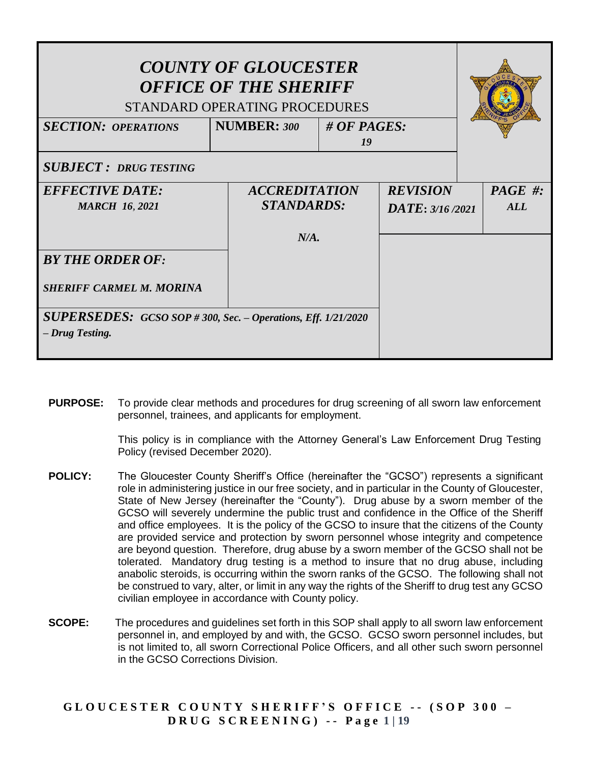| <b>NUMBER: 300</b> |                                                                                                                                                                                                                                   |             |
|--------------------|-----------------------------------------------------------------------------------------------------------------------------------------------------------------------------------------------------------------------------------|-------------|
|                    |                                                                                                                                                                                                                                   |             |
|                    |                                                                                                                                                                                                                                   |             |
|                    | <b>REVISION</b>                                                                                                                                                                                                                   | $PAGE \#$ : |
|                    | $\overline{DATE}$ : 3/16/2021                                                                                                                                                                                                     | AI.L        |
|                    |                                                                                                                                                                                                                                   |             |
|                    |                                                                                                                                                                                                                                   |             |
|                    |                                                                                                                                                                                                                                   |             |
|                    |                                                                                                                                                                                                                                   |             |
|                    |                                                                                                                                                                                                                                   |             |
|                    | <b>COUNTY OF GLOUCESTER</b><br><b>OFFICE OF THE SHERIFF</b><br>STANDARD OPERATING PROCEDURES<br>19<br><b>ACCREDITATION</b><br><b>STANDARDS:</b><br>$N/A$ .<br><b>SUPERSEDES:</b> GCSO SOP #300, Sec. - Operations, Eff. 1/21/2020 | # OF PAGES: |

**PURPOSE:** To provide clear methods and procedures for drug screening of all sworn law enforcement personnel, trainees, and applicants for employment.

> This policy is in compliance with the Attorney General's Law Enforcement Drug Testing Policy (revised December 2020).

- **POLICY:** The Gloucester County Sheriff's Office (hereinafter the "GCSO") represents a significant role in administering justice in our free society, and in particular in the County of Gloucester, State of New Jersey (hereinafter the "County"). Drug abuse by a sworn member of the GCSO will severely undermine the public trust and confidence in the Office of the Sheriff and office employees. It is the policy of the GCSO to insure that the citizens of the County are provided service and protection by sworn personnel whose integrity and competence are beyond question. Therefore, drug abuse by a sworn member of the GCSO shall not be tolerated. Mandatory drug testing is a method to insure that no drug abuse, including anabolic steroids, is occurring within the sworn ranks of the GCSO. The following shall not be construed to vary, alter, or limit in any way the rights of the Sheriff to drug test any GCSO civilian employee in accordance with County policy.
- **SCOPE:** The procedures and guidelines set forth in this SOP shall apply to all sworn law enforcement personnel in, and employed by and with, the GCSO. GCSO sworn personnel includes, but is not limited to, all sworn Correctional Police Officers, and all other such sworn personnel in the GCSO Corrections Division.

**G L O U C E S T E R C O U N T Y S H E R I F F ' S O F F I C E - - ( S O P 3 0 0 – D R U G S C R E E N I N G ) - - P a g e 1 | 19**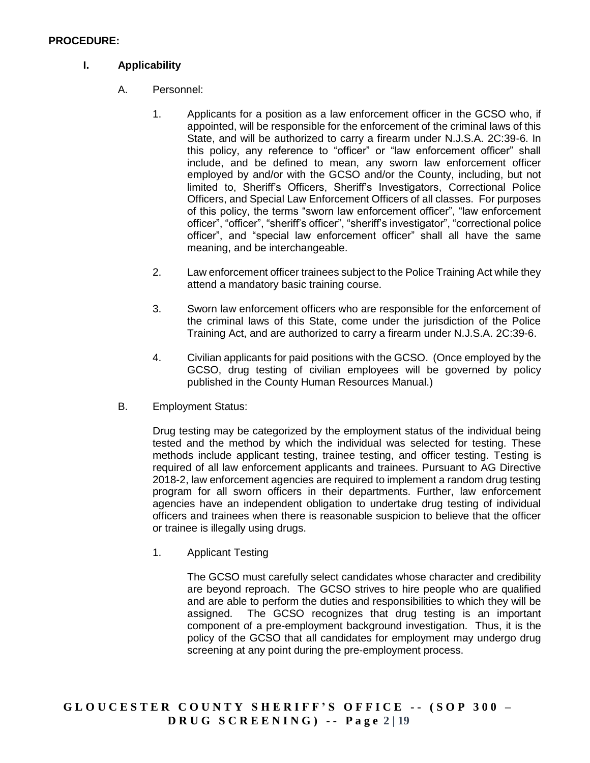#### **PROCEDURE:**

### **I. Applicability**

- A. Personnel:
	- 1. Applicants for a position as a law enforcement officer in the GCSO who, if appointed, will be responsible for the enforcement of the criminal laws of this State, and will be authorized to carry a firearm under N.J.S.A. 2C:39-6. In this policy, any reference to "officer" or "law enforcement officer" shall include, and be defined to mean, any sworn law enforcement officer employed by and/or with the GCSO and/or the County, including, but not limited to, Sheriff's Officers, Sheriff's Investigators, Correctional Police Officers, and Special Law Enforcement Officers of all classes. For purposes of this policy, the terms "sworn law enforcement officer", "law enforcement officer", "officer", "sheriff's officer", "sheriff's investigator", "correctional police officer", and "special law enforcement officer" shall all have the same meaning, and be interchangeable.
	- 2. Law enforcement officer trainees subject to the Police Training Act while they attend a mandatory basic training course.
	- 3. Sworn law enforcement officers who are responsible for the enforcement of the criminal laws of this State, come under the jurisdiction of the Police Training Act, and are authorized to carry a firearm under N.J.S.A. 2C:39-6.
	- 4. Civilian applicants for paid positions with the GCSO. (Once employed by the GCSO, drug testing of civilian employees will be governed by policy published in the County Human Resources Manual.)
- B. Employment Status:

Drug testing may be categorized by the employment status of the individual being tested and the method by which the individual was selected for testing. These methods include applicant testing, trainee testing, and officer testing. Testing is required of all law enforcement applicants and trainees. Pursuant to AG Directive 2018-2, law enforcement agencies are required to implement a random drug testing program for all sworn officers in their departments. Further, law enforcement agencies have an independent obligation to undertake drug testing of individual officers and trainees when there is reasonable suspicion to believe that the officer or trainee is illegally using drugs.

1. Applicant Testing

The GCSO must carefully select candidates whose character and credibility are beyond reproach. The GCSO strives to hire people who are qualified and are able to perform the duties and responsibilities to which they will be assigned. The GCSO recognizes that drug testing is an important component of a pre-employment background investigation. Thus, it is the policy of the GCSO that all candidates for employment may undergo drug screening at any point during the pre-employment process.

**G L O U C E S T E R C O U N T Y S H E R I F F ' S O F F I C E - - ( S O P 3 0 0 – D R U G S C R E E N I N G ) - - P a g e 2 | 19**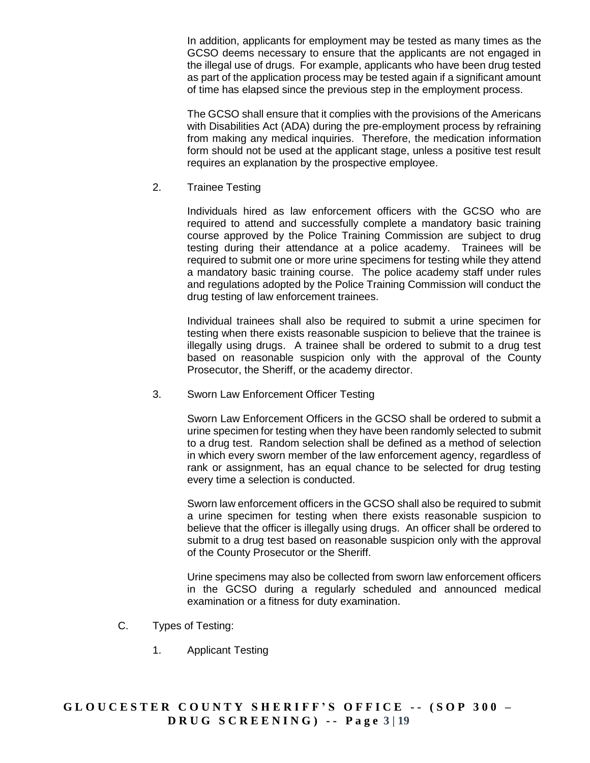In addition, applicants for employment may be tested as many times as the GCSO deems necessary to ensure that the applicants are not engaged in the illegal use of drugs. For example, applicants who have been drug tested as part of the application process may be tested again if a significant amount of time has elapsed since the previous step in the employment process.

The GCSO shall ensure that it complies with the provisions of the Americans with Disabilities Act (ADA) during the pre-employment process by refraining from making any medical inquiries. Therefore, the medication information form should not be used at the applicant stage, unless a positive test result requires an explanation by the prospective employee.

2. Trainee Testing

Individuals hired as law enforcement officers with the GCSO who are required to attend and successfully complete a mandatory basic training course approved by the Police Training Commission are subject to drug testing during their attendance at a police academy. Trainees will be required to submit one or more urine specimens for testing while they attend a mandatory basic training course. The police academy staff under rules and regulations adopted by the Police Training Commission will conduct the drug testing of law enforcement trainees.

Individual trainees shall also be required to submit a urine specimen for testing when there exists reasonable suspicion to believe that the trainee is illegally using drugs. A trainee shall be ordered to submit to a drug test based on reasonable suspicion only with the approval of the County Prosecutor, the Sheriff, or the academy director.

3. Sworn Law Enforcement Officer Testing

Sworn Law Enforcement Officers in the GCSO shall be ordered to submit a urine specimen for testing when they have been randomly selected to submit to a drug test. Random selection shall be defined as a method of selection in which every sworn member of the law enforcement agency, regardless of rank or assignment, has an equal chance to be selected for drug testing every time a selection is conducted.

Sworn law enforcement officers in the GCSO shall also be required to submit a urine specimen for testing when there exists reasonable suspicion to believe that the officer is illegally using drugs. An officer shall be ordered to submit to a drug test based on reasonable suspicion only with the approval of the County Prosecutor or the Sheriff.

Urine specimens may also be collected from sworn law enforcement officers in the GCSO during a regularly scheduled and announced medical examination or a fitness for duty examination.

- C. Types of Testing:
	- 1. Applicant Testing

## **G L O U C E S T E R C O U N T Y S H E R I F F ' S O F F I C E - - ( S O P 3 0 0 – D R U G S C R E E N I N G ) - - P a g e 3 | 19**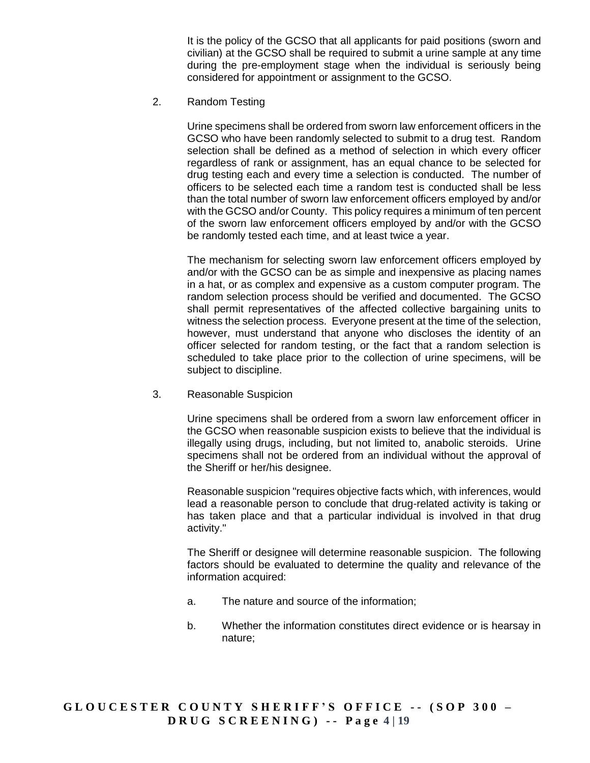It is the policy of the GCSO that all applicants for paid positions (sworn and civilian) at the GCSO shall be required to submit a urine sample at any time during the pre-employment stage when the individual is seriously being considered for appointment or assignment to the GCSO.

2. Random Testing

Urine specimens shall be ordered from sworn law enforcement officers in the GCSO who have been randomly selected to submit to a drug test. Random selection shall be defined as a method of selection in which every officer regardless of rank or assignment, has an equal chance to be selected for drug testing each and every time a selection is conducted. The number of officers to be selected each time a random test is conducted shall be less than the total number of sworn law enforcement officers employed by and/or with the GCSO and/or County. This policy requires a minimum of ten percent of the sworn law enforcement officers employed by and/or with the GCSO be randomly tested each time, and at least twice a year.

The mechanism for selecting sworn law enforcement officers employed by and/or with the GCSO can be as simple and inexpensive as placing names in a hat, or as complex and expensive as a custom computer program. The random selection process should be verified and documented. The GCSO shall permit representatives of the affected collective bargaining units to witness the selection process. Everyone present at the time of the selection, however, must understand that anyone who discloses the identity of an officer selected for random testing, or the fact that a random selection is scheduled to take place prior to the collection of urine specimens, will be subject to discipline.

3. Reasonable Suspicion

Urine specimens shall be ordered from a sworn law enforcement officer in the GCSO when reasonable suspicion exists to believe that the individual is illegally using drugs, including, but not limited to, anabolic steroids. Urine specimens shall not be ordered from an individual without the approval of the Sheriff or her/his designee.

Reasonable suspicion "requires objective facts which, with inferences, would lead a reasonable person to conclude that drug-related activity is taking or has taken place and that a particular individual is involved in that drug activity."

The Sheriff or designee will determine reasonable suspicion. The following factors should be evaluated to determine the quality and relevance of the information acquired:

- a. The nature and source of the information;
- b. Whether the information constitutes direct evidence or is hearsay in nature;

## **G L O U C E S T E R C O U N T Y S H E R I F F ' S O F F I C E - - ( S O P 3 0 0 – D R U G S C R E E N I N G ) - - P a g e 4 | 19**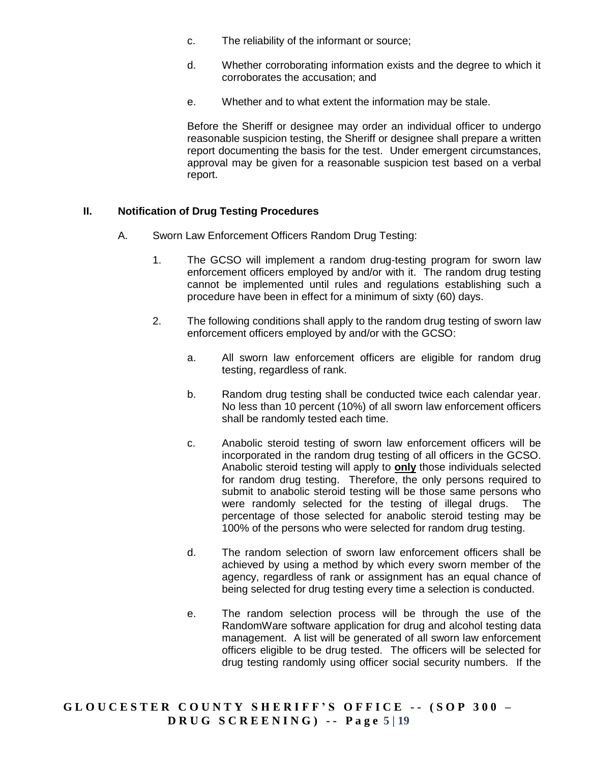- c. The reliability of the informant or source;
- d. Whether corroborating information exists and the degree to which it corroborates the accusation; and
- e. Whether and to what extent the information may be stale.

Before the Sheriff or designee may order an individual officer to undergo reasonable suspicion testing, the Sheriff or designee shall prepare a written report documenting the basis for the test. Under emergent circumstances, approval may be given for a reasonable suspicion test based on a verbal report.

#### **II. Notification of Drug Testing Procedures**

- A. Sworn Law Enforcement Officers Random Drug Testing:
	- 1. The GCSO will implement a random drug-testing program for sworn law enforcement officers employed by and/or with it. The random drug testing cannot be implemented until rules and regulations establishing such a procedure have been in effect for a minimum of sixty (60) days.
	- 2. The following conditions shall apply to the random drug testing of sworn law enforcement officers employed by and/or with the GCSO:
		- a. All sworn law enforcement officers are eligible for random drug testing, regardless of rank.
		- b. Random drug testing shall be conducted twice each calendar year. No less than 10 percent (10%) of all sworn law enforcement officers shall be randomly tested each time.
		- c. Anabolic steroid testing of sworn law enforcement officers will be incorporated in the random drug testing of all officers in the GCSO. Anabolic steroid testing will apply to **only** those individuals selected for random drug testing. Therefore, the only persons required to submit to anabolic steroid testing will be those same persons who were randomly selected for the testing of illegal drugs. The percentage of those selected for anabolic steroid testing may be 100% of the persons who were selected for random drug testing.
		- d. The random selection of sworn law enforcement officers shall be achieved by using a method by which every sworn member of the agency, regardless of rank or assignment has an equal chance of being selected for drug testing every time a selection is conducted.
		- e. The random selection process will be through the use of the RandomWare software application for drug and alcohol testing data management. A list will be generated of all sworn law enforcement officers eligible to be drug tested. The officers will be selected for drug testing randomly using officer social security numbers. If the

## **G L O U C E S T E R C O U N T Y S H E R I F F ' S O F F I C E - - ( S O P 3 0 0 – D R U G S C R E E N I N G ) - - P a g e 5 | 19**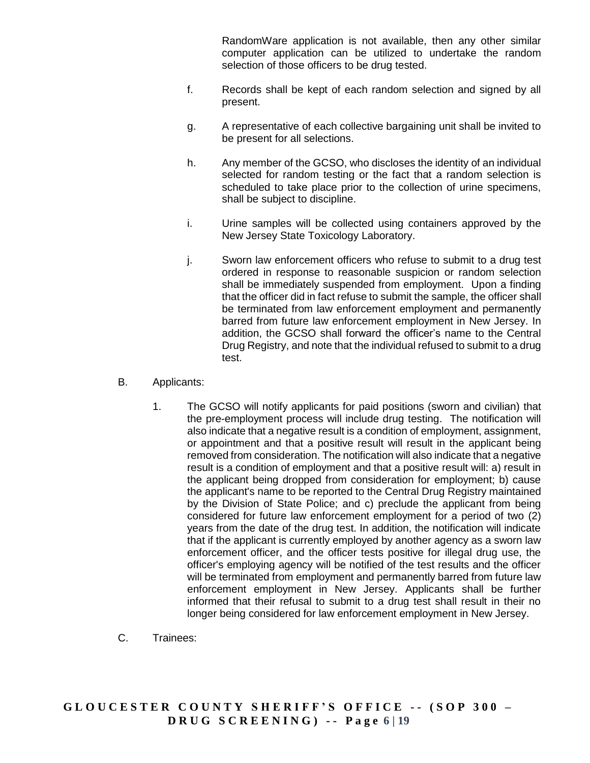RandomWare application is not available, then any other similar computer application can be utilized to undertake the random selection of those officers to be drug tested.

- f. Records shall be kept of each random selection and signed by all present.
- g. A representative of each collective bargaining unit shall be invited to be present for all selections.
- h. Any member of the GCSO, who discloses the identity of an individual selected for random testing or the fact that a random selection is scheduled to take place prior to the collection of urine specimens, shall be subject to discipline.
- i. Urine samples will be collected using containers approved by the New Jersey State Toxicology Laboratory.
- j. Sworn law enforcement officers who refuse to submit to a drug test ordered in response to reasonable suspicion or random selection shall be immediately suspended from employment. Upon a finding that the officer did in fact refuse to submit the sample, the officer shall be terminated from law enforcement employment and permanently barred from future law enforcement employment in New Jersey. In addition, the GCSO shall forward the officer's name to the Central Drug Registry, and note that the individual refused to submit to a drug test.
- B. Applicants:
	- 1. The GCSO will notify applicants for paid positions (sworn and civilian) that the pre-employment process will include drug testing. The notification will also indicate that a negative result is a condition of employment, assignment, or appointment and that a positive result will result in the applicant being removed from consideration. The notification will also indicate that a negative result is a condition of employment and that a positive result will: a) result in the applicant being dropped from consideration for employment; b) cause the applicant's name to be reported to the Central Drug Registry maintained by the Division of State Police; and c) preclude the applicant from being considered for future law enforcement employment for a period of two (2) years from the date of the drug test. In addition, the notification will indicate that if the applicant is currently employed by another agency as a sworn law enforcement officer, and the officer tests positive for illegal drug use, the officer's employing agency will be notified of the test results and the officer will be terminated from employment and permanently barred from future law enforcement employment in New Jersey. Applicants shall be further informed that their refusal to submit to a drug test shall result in their no longer being considered for law enforcement employment in New Jersey.
- C. Trainees: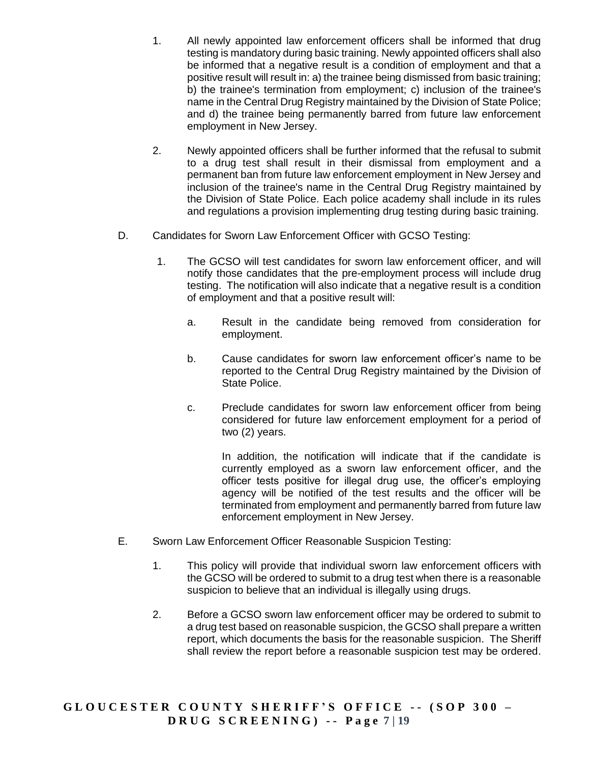- 1. All newly appointed law enforcement officers shall be informed that drug testing is mandatory during basic training. Newly appointed officers shall also be informed that a negative result is a condition of employment and that a positive result will result in: a) the trainee being dismissed from basic training; b) the trainee's termination from employment; c) inclusion of the trainee's name in the Central Drug Registry maintained by the Division of State Police; and d) the trainee being permanently barred from future law enforcement employment in New Jersey.
- 2. Newly appointed officers shall be further informed that the refusal to submit to a drug test shall result in their dismissal from employment and a permanent ban from future law enforcement employment in New Jersey and inclusion of the trainee's name in the Central Drug Registry maintained by the Division of State Police. Each police academy shall include in its rules and regulations a provision implementing drug testing during basic training.
- D. Candidates for Sworn Law Enforcement Officer with GCSO Testing:
	- 1. The GCSO will test candidates for sworn law enforcement officer, and will notify those candidates that the pre-employment process will include drug testing. The notification will also indicate that a negative result is a condition of employment and that a positive result will:
		- a. Result in the candidate being removed from consideration for employment.
		- b. Cause candidates for sworn law enforcement officer's name to be reported to the Central Drug Registry maintained by the Division of State Police.
		- c. Preclude candidates for sworn law enforcement officer from being considered for future law enforcement employment for a period of two (2) years.

In addition, the notification will indicate that if the candidate is currently employed as a sworn law enforcement officer, and the officer tests positive for illegal drug use, the officer's employing agency will be notified of the test results and the officer will be terminated from employment and permanently barred from future law enforcement employment in New Jersey.

- E. Sworn Law Enforcement Officer Reasonable Suspicion Testing:
	- 1. This policy will provide that individual sworn law enforcement officers with the GCSO will be ordered to submit to a drug test when there is a reasonable suspicion to believe that an individual is illegally using drugs.
	- 2. Before a GCSO sworn law enforcement officer may be ordered to submit to a drug test based on reasonable suspicion, the GCSO shall prepare a written report, which documents the basis for the reasonable suspicion. The Sheriff shall review the report before a reasonable suspicion test may be ordered.

**G L O U C E S T E R C O U N T Y S H E R I F F ' S O F F I C E - - ( S O P 3 0 0 – D R U G S C R E E N I N G ) - - P a g e 7 | 19**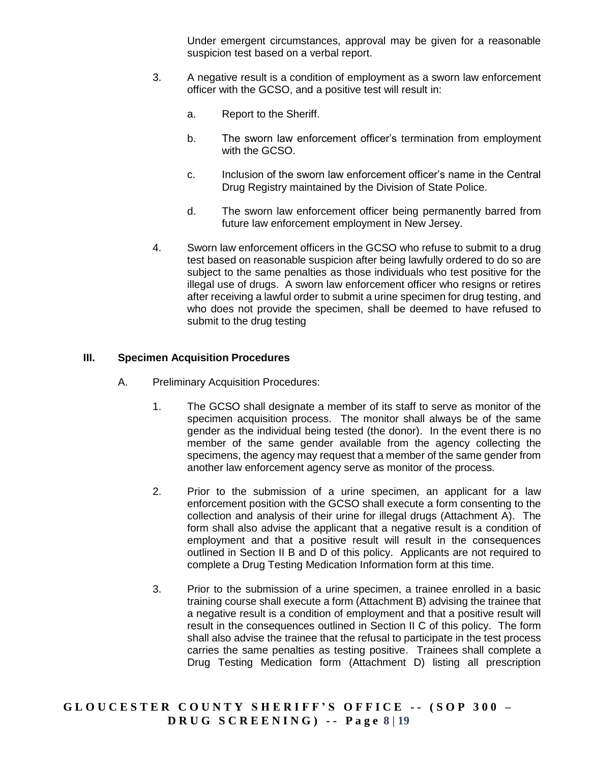Under emergent circumstances, approval may be given for a reasonable suspicion test based on a verbal report.

- 3. A negative result is a condition of employment as a sworn law enforcement officer with the GCSO, and a positive test will result in:
	- a. Report to the Sheriff.
	- b. The sworn law enforcement officer's termination from employment with the GCSO.
	- c. Inclusion of the sworn law enforcement officer's name in the Central Drug Registry maintained by the Division of State Police.
	- d. The sworn law enforcement officer being permanently barred from future law enforcement employment in New Jersey.
- 4. Sworn law enforcement officers in the GCSO who refuse to submit to a drug test based on reasonable suspicion after being lawfully ordered to do so are subject to the same penalties as those individuals who test positive for the illegal use of drugs. A sworn law enforcement officer who resigns or retires after receiving a lawful order to submit a urine specimen for drug testing, and who does not provide the specimen, shall be deemed to have refused to submit to the drug testing

### **III. Specimen Acquisition Procedures**

- A. Preliminary Acquisition Procedures:
	- 1. The GCSO shall designate a member of its staff to serve as monitor of the specimen acquisition process. The monitor shall always be of the same gender as the individual being tested (the donor). In the event there is no member of the same gender available from the agency collecting the specimens, the agency may request that a member of the same gender from another law enforcement agency serve as monitor of the process.
	- 2. Prior to the submission of a urine specimen, an applicant for a law enforcement position with the GCSO shall execute a form consenting to the collection and analysis of their urine for illegal drugs (Attachment A). The form shall also advise the applicant that a negative result is a condition of employment and that a positive result will result in the consequences outlined in Section II B and D of this policy. Applicants are not required to complete a Drug Testing Medication Information form at this time.
	- 3. Prior to the submission of a urine specimen, a trainee enrolled in a basic training course shall execute a form (Attachment B) advising the trainee that a negative result is a condition of employment and that a positive result will result in the consequences outlined in Section II C of this policy. The form shall also advise the trainee that the refusal to participate in the test process carries the same penalties as testing positive. Trainees shall complete a Drug Testing Medication form (Attachment D) listing all prescription

**G L O U C E S T E R C O U N T Y S H E R I F F ' S O F F I C E - - ( S O P 3 0 0 – D R U G S C R E E N I N G ) - - P a g e 8 | 19**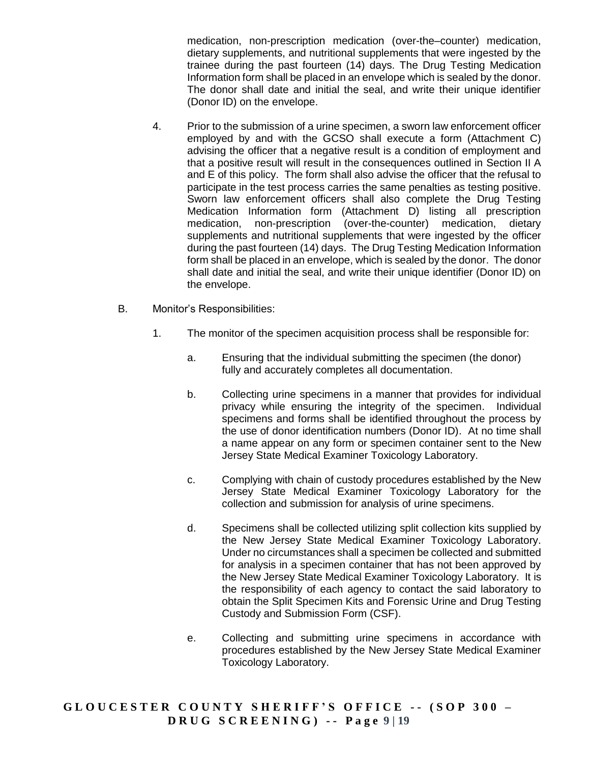medication, non-prescription medication (over-the–counter) medication, dietary supplements, and nutritional supplements that were ingested by the trainee during the past fourteen (14) days. The Drug Testing Medication Information form shall be placed in an envelope which is sealed by the donor. The donor shall date and initial the seal, and write their unique identifier (Donor ID) on the envelope.

- 4. Prior to the submission of a urine specimen, a sworn law enforcement officer employed by and with the GCSO shall execute a form (Attachment C) advising the officer that a negative result is a condition of employment and that a positive result will result in the consequences outlined in Section II A and E of this policy. The form shall also advise the officer that the refusal to participate in the test process carries the same penalties as testing positive. Sworn law enforcement officers shall also complete the Drug Testing Medication Information form (Attachment D) listing all prescription medication, non-prescription (over-the-counter) medication, dietary supplements and nutritional supplements that were ingested by the officer during the past fourteen (14) days. The Drug Testing Medication Information form shall be placed in an envelope, which is sealed by the donor. The donor shall date and initial the seal, and write their unique identifier (Donor ID) on the envelope.
- B. Monitor's Responsibilities:
	- 1. The monitor of the specimen acquisition process shall be responsible for:
		- a. Ensuring that the individual submitting the specimen (the donor) fully and accurately completes all documentation.
		- b. Collecting urine specimens in a manner that provides for individual privacy while ensuring the integrity of the specimen. Individual specimens and forms shall be identified throughout the process by the use of donor identification numbers (Donor ID). At no time shall a name appear on any form or specimen container sent to the New Jersey State Medical Examiner Toxicology Laboratory.
		- c. Complying with chain of custody procedures established by the New Jersey State Medical Examiner Toxicology Laboratory for the collection and submission for analysis of urine specimens.
		- d. Specimens shall be collected utilizing split collection kits supplied by the New Jersey State Medical Examiner Toxicology Laboratory. Under no circumstances shall a specimen be collected and submitted for analysis in a specimen container that has not been approved by the New Jersey State Medical Examiner Toxicology Laboratory. It is the responsibility of each agency to contact the said laboratory to obtain the Split Specimen Kits and Forensic Urine and Drug Testing Custody and Submission Form (CSF).
		- e. Collecting and submitting urine specimens in accordance with procedures established by the New Jersey State Medical Examiner Toxicology Laboratory.

**G L O U C E S T E R C O U N T Y S H E R I F F ' S O F F I C E - - ( S O P 3 0 0 – D R U G S C R E E N I N G ) - - P a g e 9 | 19**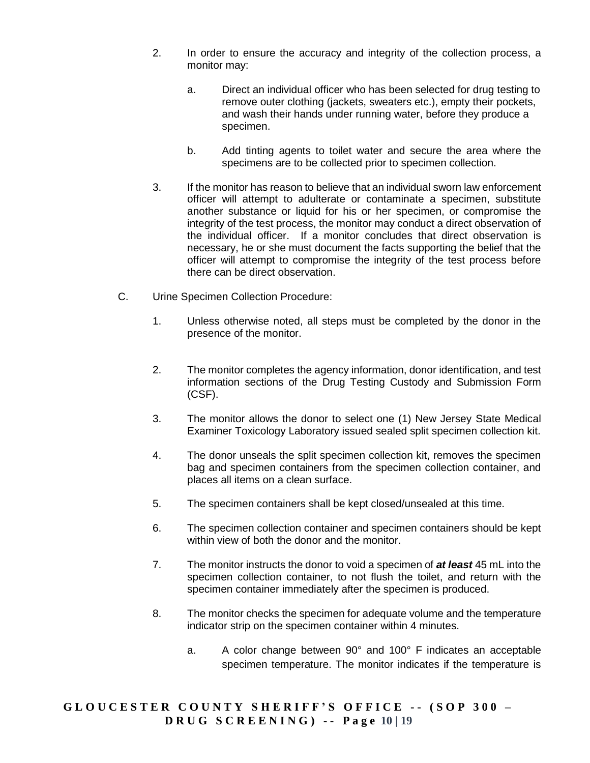- 2. In order to ensure the accuracy and integrity of the collection process, a monitor may:
	- a. Direct an individual officer who has been selected for drug testing to remove outer clothing (jackets, sweaters etc.), empty their pockets, and wash their hands under running water, before they produce a specimen.
	- b. Add tinting agents to toilet water and secure the area where the specimens are to be collected prior to specimen collection.
- 3. If the monitor has reason to believe that an individual sworn law enforcement officer will attempt to adulterate or contaminate a specimen, substitute another substance or liquid for his or her specimen, or compromise the integrity of the test process, the monitor may conduct a direct observation of the individual officer. If a monitor concludes that direct observation is necessary, he or she must document the facts supporting the belief that the officer will attempt to compromise the integrity of the test process before there can be direct observation.
- C. Urine Specimen Collection Procedure:
	- 1. Unless otherwise noted, all steps must be completed by the donor in the presence of the monitor.
	- 2. The monitor completes the agency information, donor identification, and test information sections of the Drug Testing Custody and Submission Form (CSF).
	- 3. The monitor allows the donor to select one (1) New Jersey State Medical Examiner Toxicology Laboratory issued sealed split specimen collection kit.
	- 4. The donor unseals the split specimen collection kit, removes the specimen bag and specimen containers from the specimen collection container, and places all items on a clean surface.
	- 5. The specimen containers shall be kept closed/unsealed at this time.
	- 6. The specimen collection container and specimen containers should be kept within view of both the donor and the monitor.
	- 7. The monitor instructs the donor to void a specimen of *at least* 45 mL into the specimen collection container, to not flush the toilet, and return with the specimen container immediately after the specimen is produced.
	- 8. The monitor checks the specimen for adequate volume and the temperature indicator strip on the specimen container within 4 minutes.
		- a. A color change between 90° and 100° F indicates an acceptable specimen temperature. The monitor indicates if the temperature is

**G L O U C E S T E R C O U N T Y S H E R I F F ' S O F F I C E - - ( S O P 3 0 0 – D R U G S C R E E N I N G ) - - P a g e 10 | 19**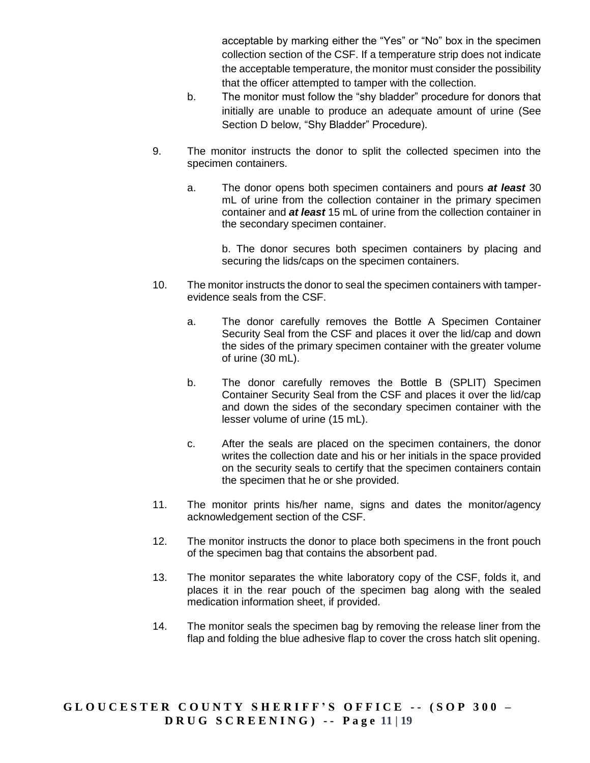acceptable by marking either the "Yes" or "No" box in the specimen collection section of the CSF. If a temperature strip does not indicate the acceptable temperature, the monitor must consider the possibility that the officer attempted to tamper with the collection.

- b. The monitor must follow the "shy bladder" procedure for donors that initially are unable to produce an adequate amount of urine (See Section D below, "Shy Bladder" Procedure).
- 9. The monitor instructs the donor to split the collected specimen into the specimen containers.
	- a. The donor opens both specimen containers and pours *at least* 30 mL of urine from the collection container in the primary specimen container and *at least* 15 mL of urine from the collection container in the secondary specimen container.

b. The donor secures both specimen containers by placing and securing the lids/caps on the specimen containers.

- 10. The monitor instructs the donor to seal the specimen containers with tamperevidence seals from the CSF.
	- a. The donor carefully removes the Bottle A Specimen Container Security Seal from the CSF and places it over the lid/cap and down the sides of the primary specimen container with the greater volume of urine (30 mL).
	- b. The donor carefully removes the Bottle B (SPLIT) Specimen Container Security Seal from the CSF and places it over the lid/cap and down the sides of the secondary specimen container with the lesser volume of urine (15 mL).
	- c. After the seals are placed on the specimen containers, the donor writes the collection date and his or her initials in the space provided on the security seals to certify that the specimen containers contain the specimen that he or she provided.
- 11. The monitor prints his/her name, signs and dates the monitor/agency acknowledgement section of the CSF.
- 12. The monitor instructs the donor to place both specimens in the front pouch of the specimen bag that contains the absorbent pad.
- 13. The monitor separates the white laboratory copy of the CSF, folds it, and places it in the rear pouch of the specimen bag along with the sealed medication information sheet, if provided.
- 14. The monitor seals the specimen bag by removing the release liner from the flap and folding the blue adhesive flap to cover the cross hatch slit opening.

**G L O U C E S T E R C O U N T Y S H E R I F F ' S O F F I C E - - ( S O P 3 0 0 – D R U G S C R E E N I N G ) - - P a g e 11 | 19**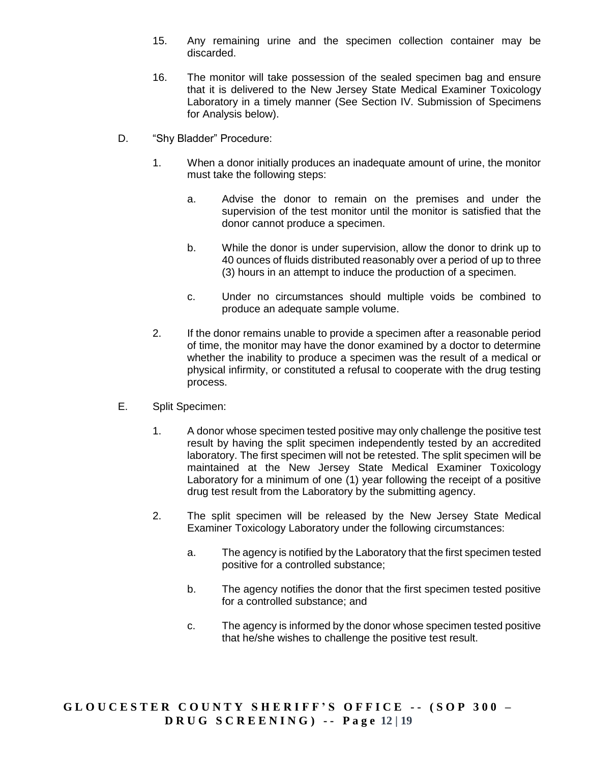- 15. Any remaining urine and the specimen collection container may be discarded.
- 16. The monitor will take possession of the sealed specimen bag and ensure that it is delivered to the New Jersey State Medical Examiner Toxicology Laboratory in a timely manner (See Section IV. Submission of Specimens for Analysis below).
- D. "Shy Bladder" Procedure:
	- 1. When a donor initially produces an inadequate amount of urine, the monitor must take the following steps:
		- a. Advise the donor to remain on the premises and under the supervision of the test monitor until the monitor is satisfied that the donor cannot produce a specimen.
		- b. While the donor is under supervision, allow the donor to drink up to 40 ounces of fluids distributed reasonably over a period of up to three (3) hours in an attempt to induce the production of a specimen.
		- c. Under no circumstances should multiple voids be combined to produce an adequate sample volume.
	- 2. If the donor remains unable to provide a specimen after a reasonable period of time, the monitor may have the donor examined by a doctor to determine whether the inability to produce a specimen was the result of a medical or physical infirmity, or constituted a refusal to cooperate with the drug testing process.
- E. Split Specimen:
	- 1. A donor whose specimen tested positive may only challenge the positive test result by having the split specimen independently tested by an accredited laboratory. The first specimen will not be retested. The split specimen will be maintained at the New Jersey State Medical Examiner Toxicology Laboratory for a minimum of one (1) year following the receipt of a positive drug test result from the Laboratory by the submitting agency.
	- 2. The split specimen will be released by the New Jersey State Medical Examiner Toxicology Laboratory under the following circumstances:
		- a. The agency is notified by the Laboratory that the first specimen tested positive for a controlled substance;
		- b. The agency notifies the donor that the first specimen tested positive for a controlled substance; and
		- c. The agency is informed by the donor whose specimen tested positive that he/she wishes to challenge the positive test result.

**G L O U C E S T E R C O U N T Y S H E R I F F ' S O F F I C E - - ( S O P 3 0 0 – D R U G S C R E E N I N G ) - - P a g e 12 | 19**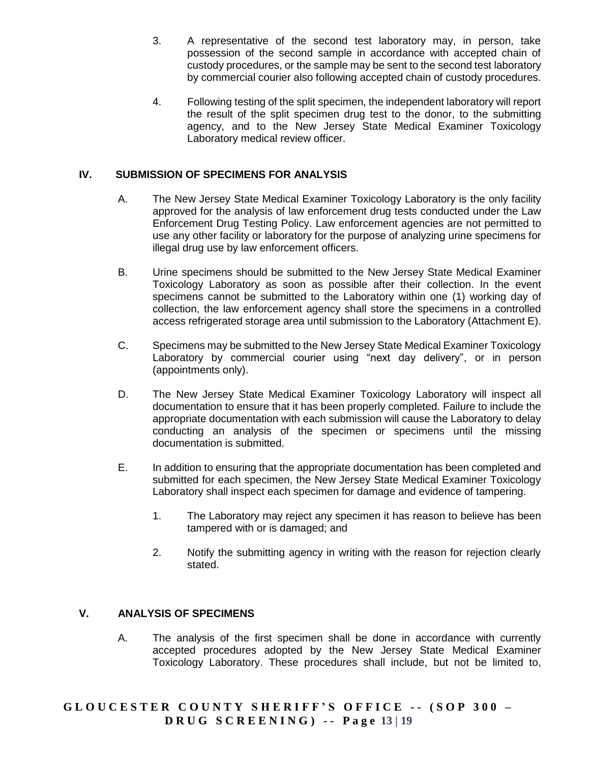- 3. A representative of the second test laboratory may, in person, take possession of the second sample in accordance with accepted chain of custody procedures, or the sample may be sent to the second test laboratory by commercial courier also following accepted chain of custody procedures.
- 4. Following testing of the split specimen, the independent laboratory will report the result of the split specimen drug test to the donor, to the submitting agency, and to the New Jersey State Medical Examiner Toxicology Laboratory medical review officer.

### **IV. SUBMISSION OF SPECIMENS FOR ANALYSIS**

- A. The New Jersey State Medical Examiner Toxicology Laboratory is the only facility approved for the analysis of law enforcement drug tests conducted under the Law Enforcement Drug Testing Policy. Law enforcement agencies are not permitted to use any other facility or laboratory for the purpose of analyzing urine specimens for illegal drug use by law enforcement officers.
- B. Urine specimens should be submitted to the New Jersey State Medical Examiner Toxicology Laboratory as soon as possible after their collection. In the event specimens cannot be submitted to the Laboratory within one (1) working day of collection, the law enforcement agency shall store the specimens in a controlled access refrigerated storage area until submission to the Laboratory (Attachment E).
- C. Specimens may be submitted to the New Jersey State Medical Examiner Toxicology Laboratory by commercial courier using "next day delivery", or in person (appointments only).
- D. The New Jersey State Medical Examiner Toxicology Laboratory will inspect all documentation to ensure that it has been properly completed. Failure to include the appropriate documentation with each submission will cause the Laboratory to delay conducting an analysis of the specimen or specimens until the missing documentation is submitted.
- E. In addition to ensuring that the appropriate documentation has been completed and submitted for each specimen, the New Jersey State Medical Examiner Toxicology Laboratory shall inspect each specimen for damage and evidence of tampering.
	- 1. The Laboratory may reject any specimen it has reason to believe has been tampered with or is damaged; and
	- 2. Notify the submitting agency in writing with the reason for rejection clearly stated.

### **V. ANALYSIS OF SPECIMENS**

A. The analysis of the first specimen shall be done in accordance with currently accepted procedures adopted by the New Jersey State Medical Examiner Toxicology Laboratory. These procedures shall include, but not be limited to,

## **G L O U C E S T E R C O U N T Y S H E R I F F ' S O F F I C E - - ( S O P 3 0 0 – D R U G S C R E E N I N G ) - - P a g e 13 | 19**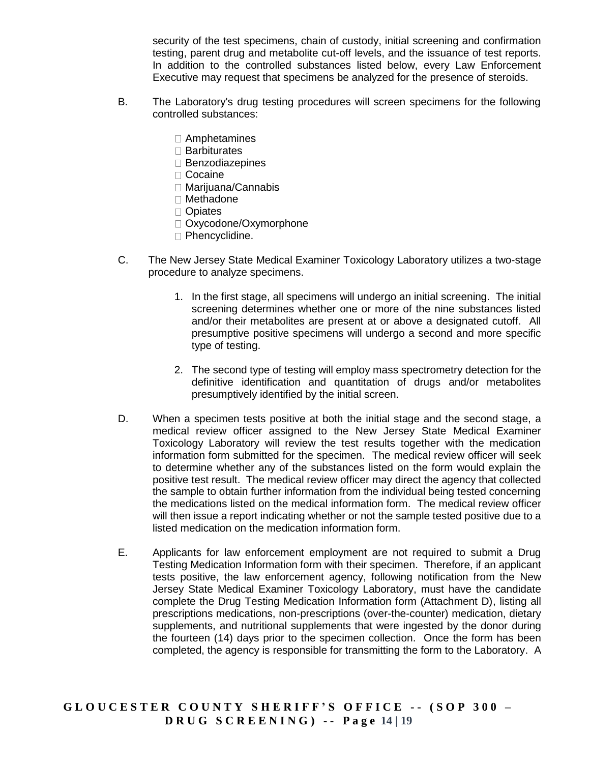security of the test specimens, chain of custody, initial screening and confirmation testing, parent drug and metabolite cut-off levels, and the issuance of test reports. In addition to the controlled substances listed below, every Law Enforcement Executive may request that specimens be analyzed for the presence of steroids.

- B. The Laboratory's drug testing procedures will screen specimens for the following controlled substances:
	- Amphetamines
	- □ Barbiturates
	- $\square$  Benzodiazepines
	- □ Cocaine
	- Marijuana/Cannabis
	- □ Methadone
	- □ Opiates
	- □ Oxycodone/Oxymorphone
	- □ Phencyclidine.
- C. The New Jersey State Medical Examiner Toxicology Laboratory utilizes a two-stage procedure to analyze specimens.
	- 1. In the first stage, all specimens will undergo an initial screening. The initial screening determines whether one or more of the nine substances listed and/or their metabolites are present at or above a designated cutoff. All presumptive positive specimens will undergo a second and more specific type of testing.
	- 2. The second type of testing will employ mass spectrometry detection for the definitive identification and quantitation of drugs and/or metabolites presumptively identified by the initial screen.
- D. When a specimen tests positive at both the initial stage and the second stage, a medical review officer assigned to the New Jersey State Medical Examiner Toxicology Laboratory will review the test results together with the medication information form submitted for the specimen. The medical review officer will seek to determine whether any of the substances listed on the form would explain the positive test result. The medical review officer may direct the agency that collected the sample to obtain further information from the individual being tested concerning the medications listed on the medical information form. The medical review officer will then issue a report indicating whether or not the sample tested positive due to a listed medication on the medication information form.
- E. Applicants for law enforcement employment are not required to submit a Drug Testing Medication Information form with their specimen. Therefore, if an applicant tests positive, the law enforcement agency, following notification from the New Jersey State Medical Examiner Toxicology Laboratory, must have the candidate complete the Drug Testing Medication Information form (Attachment D), listing all prescriptions medications, non-prescriptions (over-the-counter) medication, dietary supplements, and nutritional supplements that were ingested by the donor during the fourteen (14) days prior to the specimen collection. Once the form has been completed, the agency is responsible for transmitting the form to the Laboratory. A

**G L O U C E S T E R C O U N T Y S H E R I F F ' S O F F I C E - - ( S O P 3 0 0 – D R U G S C R E E N I N G ) - - P a g e 14 | 19**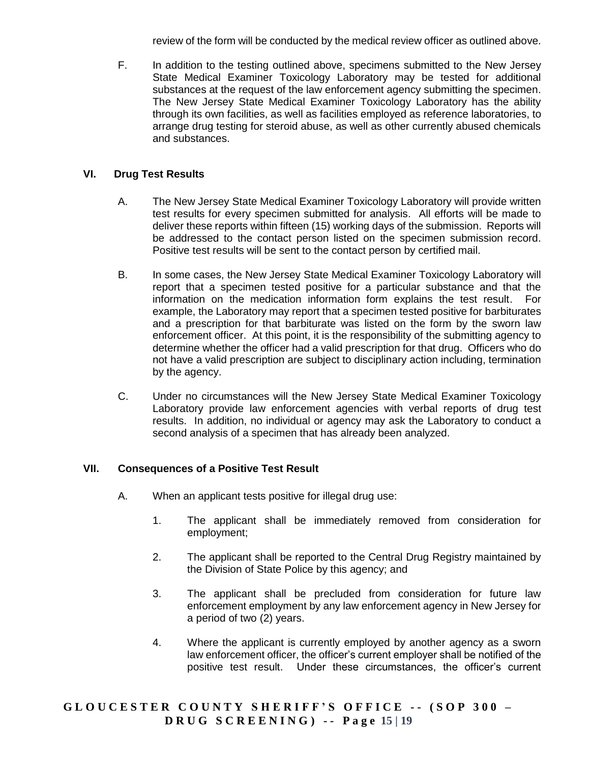review of the form will be conducted by the medical review officer as outlined above.

F. In addition to the testing outlined above, specimens submitted to the New Jersey State Medical Examiner Toxicology Laboratory may be tested for additional substances at the request of the law enforcement agency submitting the specimen. The New Jersey State Medical Examiner Toxicology Laboratory has the ability through its own facilities, as well as facilities employed as reference laboratories, to arrange drug testing for steroid abuse, as well as other currently abused chemicals and substances.

## **VI. Drug Test Results**

- A. The New Jersey State Medical Examiner Toxicology Laboratory will provide written test results for every specimen submitted for analysis. All efforts will be made to deliver these reports within fifteen (15) working days of the submission. Reports will be addressed to the contact person listed on the specimen submission record. Positive test results will be sent to the contact person by certified mail.
- B. In some cases, the New Jersey State Medical Examiner Toxicology Laboratory will report that a specimen tested positive for a particular substance and that the information on the medication information form explains the test result. For example, the Laboratory may report that a specimen tested positive for barbiturates and a prescription for that barbiturate was listed on the form by the sworn law enforcement officer. At this point, it is the responsibility of the submitting agency to determine whether the officer had a valid prescription for that drug. Officers who do not have a valid prescription are subject to disciplinary action including, termination by the agency.
- C. Under no circumstances will the New Jersey State Medical Examiner Toxicology Laboratory provide law enforcement agencies with verbal reports of drug test results. In addition, no individual or agency may ask the Laboratory to conduct a second analysis of a specimen that has already been analyzed.

### **VII. Consequences of a Positive Test Result**

- A. When an applicant tests positive for illegal drug use:
	- 1. The applicant shall be immediately removed from consideration for employment;
	- 2. The applicant shall be reported to the Central Drug Registry maintained by the Division of State Police by this agency; and
	- 3. The applicant shall be precluded from consideration for future law enforcement employment by any law enforcement agency in New Jersey for a period of two (2) years.
	- 4. Where the applicant is currently employed by another agency as a sworn law enforcement officer, the officer's current employer shall be notified of the positive test result. Under these circumstances, the officer's current

## **G L O U C E S T E R C O U N T Y S H E R I F F ' S O F F I C E - - ( S O P 3 0 0 – D R U G S C R E E N I N G ) - - P a g e 15 | 19**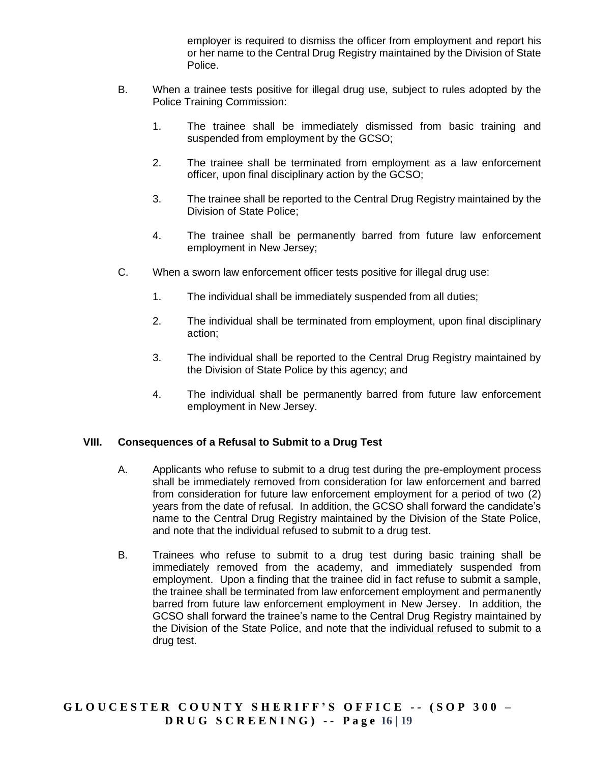employer is required to dismiss the officer from employment and report his or her name to the Central Drug Registry maintained by the Division of State Police.

- B. When a trainee tests positive for illegal drug use, subject to rules adopted by the Police Training Commission:
	- 1. The trainee shall be immediately dismissed from basic training and suspended from employment by the GCSO;
	- 2. The trainee shall be terminated from employment as a law enforcement officer, upon final disciplinary action by the GCSO;
	- 3. The trainee shall be reported to the Central Drug Registry maintained by the Division of State Police;
	- 4. The trainee shall be permanently barred from future law enforcement employment in New Jersey;
- C. When a sworn law enforcement officer tests positive for illegal drug use:
	- 1. The individual shall be immediately suspended from all duties;
	- 2. The individual shall be terminated from employment, upon final disciplinary action;
	- 3. The individual shall be reported to the Central Drug Registry maintained by the Division of State Police by this agency; and
	- 4. The individual shall be permanently barred from future law enforcement employment in New Jersey.

### **VIII. Consequences of a Refusal to Submit to a Drug Test**

- A. Applicants who refuse to submit to a drug test during the pre-employment process shall be immediately removed from consideration for law enforcement and barred from consideration for future law enforcement employment for a period of two (2) years from the date of refusal. In addition, the GCSO shall forward the candidate's name to the Central Drug Registry maintained by the Division of the State Police, and note that the individual refused to submit to a drug test.
- B. Trainees who refuse to submit to a drug test during basic training shall be immediately removed from the academy, and immediately suspended from employment. Upon a finding that the trainee did in fact refuse to submit a sample, the trainee shall be terminated from law enforcement employment and permanently barred from future law enforcement employment in New Jersey. In addition, the GCSO shall forward the trainee's name to the Central Drug Registry maintained by the Division of the State Police, and note that the individual refused to submit to a drug test.

**G L O U C E S T E R C O U N T Y S H E R I F F ' S O F F I C E - - ( S O P 3 0 0 – D R U G S C R E E N I N G ) - - P a g e 16 | 19**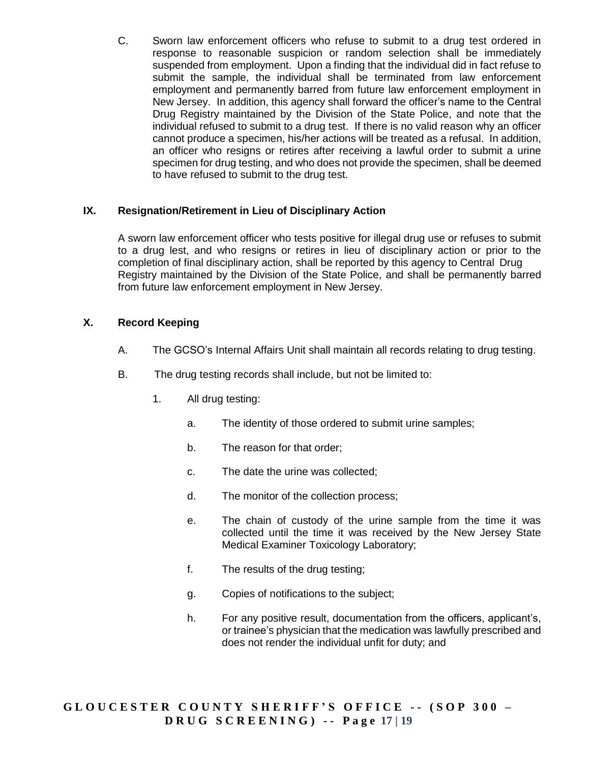C. Sworn law enforcement officers who refuse to submit to a drug test ordered in response to reasonable suspicion or random selection shall be immediately suspended from employment. Upon a finding that the individual did in fact refuse to submit the sample, the individual shall be terminated from law enforcement employment and permanently barred from future law enforcement employment in New Jersey. In addition, this agency shall forward the officer's name to the Central Drug Registry maintained by the Division of the State Police, and note that the individual refused to submit to a drug test. If there is no valid reason why an officer cannot produce a specimen, his/her actions will be treated as a refusal. In addition, an officer who resigns or retires after receiving a lawful order to submit a urine specimen for drug testing, and who does not provide the specimen, shall be deemed to have refused to submit to the drug test.

### **IX. Resignation/Retirement in Lieu of Disciplinary Action**

A sworn law enforcement officer who tests positive for illegal drug use or refuses to submit to a drug lest, and who resigns or retires in lieu of disciplinary action or prior to the completion of final disciplinary action, shall be reported by this agency to Central Drug Registry maintained by the Division of the State Police, and shall be permanently barred from future law enforcement employment in New Jersey.

## **X. Record Keeping**

- A. The GCSO's Internal Affairs Unit shall maintain all records relating to drug testing.
- B. The drug testing records shall include, but not be limited to:
	- 1. All drug testing:
		- a. The identity of those ordered to submit urine samples;
		- b. The reason for that order;
		- c. The date the urine was collected;
		- d. The monitor of the collection process;
		- e. The chain of custody of the urine sample from the time it was collected until the time it was received by the New Jersey State Medical Examiner Toxicology Laboratory;
		- f. The results of the drug testing;
		- g. Copies of notifications to the subject;
		- h. For any positive result, documentation from the officers, applicant's, or trainee's physician that the medication was lawfully prescribed and does not render the individual unfit for duty; and

**G L O U C E S T E R C O U N T Y S H E R I F F ' S O F F I C E - - ( S O P 3 0 0 – D R U G S C R E E N I N G ) - - P a g e 17 | 19**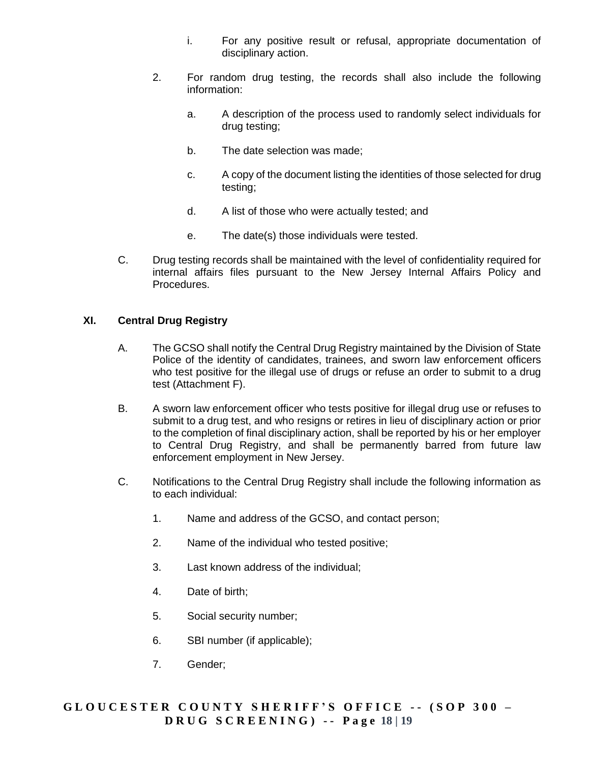- i. For any positive result or refusal, appropriate documentation of disciplinary action.
- 2. For random drug testing, the records shall also include the following information:
	- a. A description of the process used to randomly select individuals for drug testing;
	- b. The date selection was made;
	- c. A copy of the document listing the identities of those selected for drug testing;
	- d. A list of those who were actually tested; and
	- e. The date(s) those individuals were tested.
- C. Drug testing records shall be maintained with the level of confidentiality required for internal affairs files pursuant to the New Jersey Internal Affairs Policy and Procedures.

#### **XI. Central Drug Registry**

- A. The GCSO shall notify the Central Drug Registry maintained by the Division of State Police of the identity of candidates, trainees, and sworn law enforcement officers who test positive for the illegal use of drugs or refuse an order to submit to a drug test (Attachment F).
- B. A sworn law enforcement officer who tests positive for illegal drug use or refuses to submit to a drug test, and who resigns or retires in lieu of disciplinary action or prior to the completion of final disciplinary action, shall be reported by his or her employer to Central Drug Registry, and shall be permanently barred from future law enforcement employment in New Jersey.
- C. Notifications to the Central Drug Registry shall include the following information as to each individual:
	- 1. Name and address of the GCSO, and contact person;
	- 2. Name of the individual who tested positive;
	- 3. Last known address of the individual;
	- 4. Date of birth;
	- 5. Social security number;
	- 6. SBI number (if applicable);
	- 7. Gender;

## **G L O U C E S T E R C O U N T Y S H E R I F F ' S O F F I C E - - ( S O P 3 0 0 – D R U G S C R E E N I N G ) - - P a g e 18 | 19**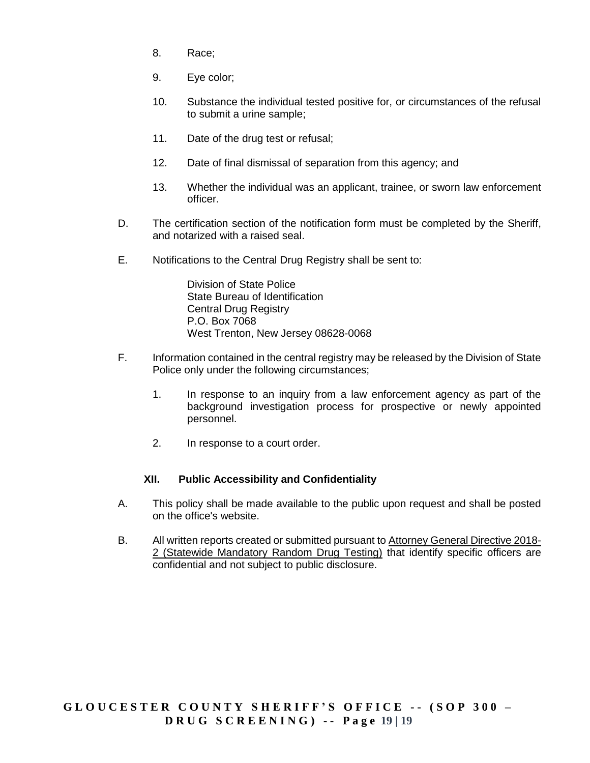- 8. Race;
- 9. Eye color;
- 10. Substance the individual tested positive for, or circumstances of the refusal to submit a urine sample;
- 11. Date of the drug test or refusal;
- 12. Date of final dismissal of separation from this agency; and
- 13. Whether the individual was an applicant, trainee, or sworn law enforcement officer.
- D. The certification section of the notification form must be completed by the Sheriff, and notarized with a raised seal.
- E. Notifications to the Central Drug Registry shall be sent to:

Division of State Police State Bureau of Identification Central Drug Registry P.O. Box 7068 West Trenton, New Jersey 08628-0068

- F. Information contained in the central registry may be released by the Division of State Police only under the following circumstances;
	- 1. In response to an inquiry from a law enforcement agency as part of the background investigation process for prospective or newly appointed personnel.
	- 2. In response to a court order.

### **XII. Public Accessibility and Confidentiality**

- A. This policy shall be made available to the public upon request and shall be posted on the office's website.
- B. All written reports created or submitted pursuant to [Attorney General Directive 2018-](http://www.nj.gov/oag/dcj/agguide/directives/ag-directive-2018-2.pdf) [2 \(Statewide Mandatory Random Drug Testing\)](http://www.nj.gov/oag/dcj/agguide/directives/ag-directive-2018-2.pdf) that identify specific officers are confidential and not subject to public disclosure.

## **G L O U C E S T E R C O U N T Y S H E R I F F ' S O F F I C E - - ( S O P 3 0 0 – D R U G S C R E E N I N G ) - - P a g e 19 | 19**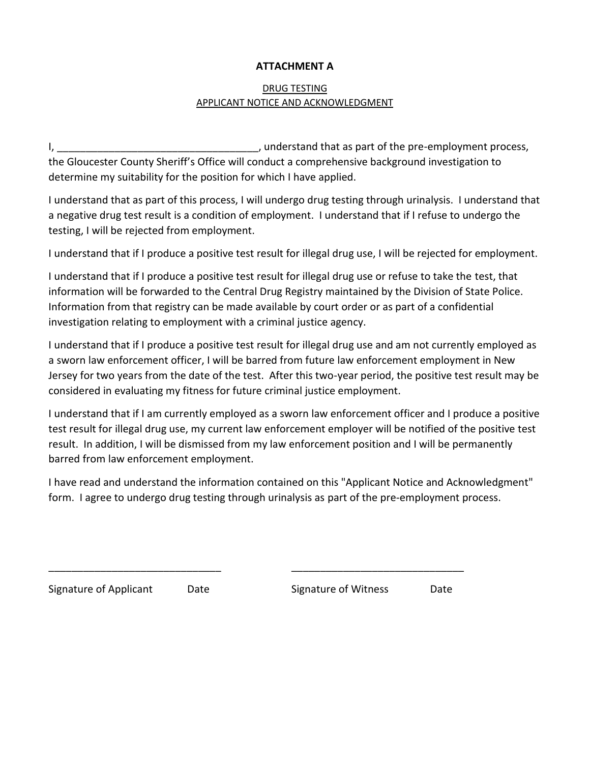## **ATTACHMENT A**

# DRUG TESTING APPLICANT NOTICE AND ACKNOWLEDGMENT

I, the contract of the pre-employment process,  $\mu$  and  $\mu$  and  $\mu$  and  $\mu$  and  $\mu$  are that as part of the pre-employment process, the Gloucester County Sheriff's Office will conduct a comprehensive background investigation to determine my suitability for the position for which I have applied.

I understand that as part of this process, I will undergo drug testing through urinalysis. I understand that a negative drug test result is a condition of employment. I understand that if I refuse to undergo the testing, I will be rejected from employment.

I understand that if I produce a positive test result for illegal drug use, I will be rejected for employment.

I understand that if I produce a positive test result for illegal drug use or refuse to take the test, that information will be forwarded to the Central Drug Registry maintained by the Division of State Police. Information from that registry can be made available by court order or as part of a confidential investigation relating to employment with a criminal justice agency.

I understand that if I produce a positive test result for illegal drug use and am not currently employed as a sworn law enforcement officer, I will be barred from future law enforcement employment in New Jersey for two years from the date of the test. After this two-year period, the positive test result may be considered in evaluating my fitness for future criminal justice employment.

I understand that if I am currently employed as a sworn law enforcement officer and I produce a positive test result for illegal drug use, my current law enforcement employer will be notified of the positive test result. In addition, I will be dismissed from my law enforcement position and I will be permanently barred from law enforcement employment.

I have read and understand the information contained on this "Applicant Notice and Acknowledgment" form. I agree to undergo drug testing through urinalysis as part of the pre-employment process.

\_\_\_\_\_\_\_\_\_\_\_\_\_\_\_\_\_\_\_\_\_\_\_\_\_\_\_\_\_\_ \_\_\_\_\_\_\_\_\_\_\_\_\_\_\_\_\_\_\_\_\_\_\_\_\_\_\_\_\_\_

Signature of Applicant Date Signature of Witness Date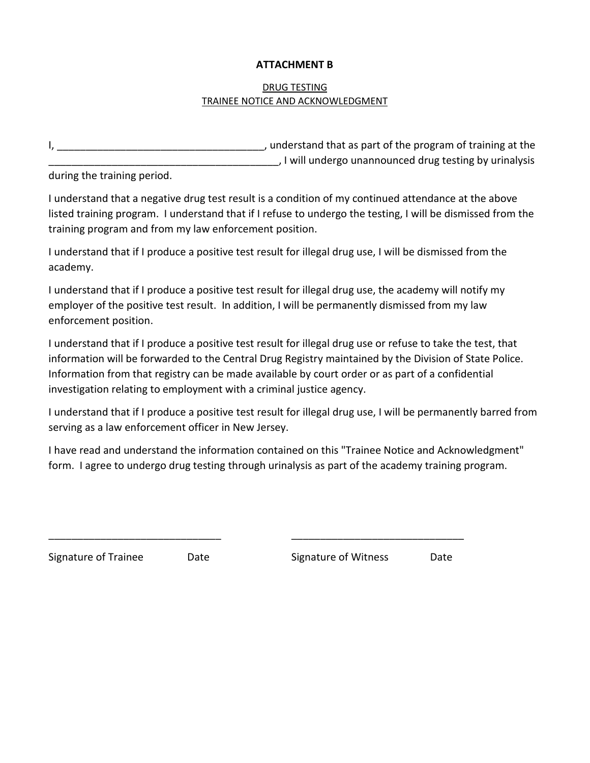### **ATTACHMENT B**

## DRUG TESTING TRAINEE NOTICE AND ACKNOWLEDGMENT

I, \_\_\_\_\_\_\_\_\_\_\_\_\_\_\_\_\_\_\_\_\_\_\_\_\_\_\_\_\_\_\_\_\_\_\_\_, understand that as part of the program of training at the \_\_\_\_\_\_\_\_\_\_\_\_\_\_\_\_\_\_\_\_\_\_\_\_\_\_\_\_\_\_\_\_\_\_\_\_\_\_\_\_, I will undergo unannounced drug testing by urinalysis

during the training period.

I understand that a negative drug test result is a condition of my continued attendance at the above listed training program. I understand that if I refuse to undergo the testing, I will be dismissed from the training program and from my law enforcement position.

I understand that if I produce a positive test result for illegal drug use, I will be dismissed from the academy.

I understand that if I produce a positive test result for illegal drug use, the academy will notify my employer of the positive test result. In addition, I will be permanently dismissed from my law enforcement position.

I understand that if I produce a positive test result for illegal drug use or refuse to take the test, that information will be forwarded to the Central Drug Registry maintained by the Division of State Police. Information from that registry can be made available by court order or as part of a confidential investigation relating to employment with a criminal justice agency.

I understand that if I produce a positive test result for illegal drug use, I will be permanently barred from serving as a law enforcement officer in New Jersey.

I have read and understand the information contained on this "Trainee Notice and Acknowledgment" form. I agree to undergo drug testing through urinalysis as part of the academy training program.

\_\_\_\_\_\_\_\_\_\_\_\_\_\_\_\_\_\_\_\_\_\_\_\_\_\_\_\_\_\_ \_\_\_\_\_\_\_\_\_\_\_\_\_\_\_\_\_\_\_\_\_\_\_\_\_\_\_\_\_\_

Signature of Trainee Date Signature of Witness Date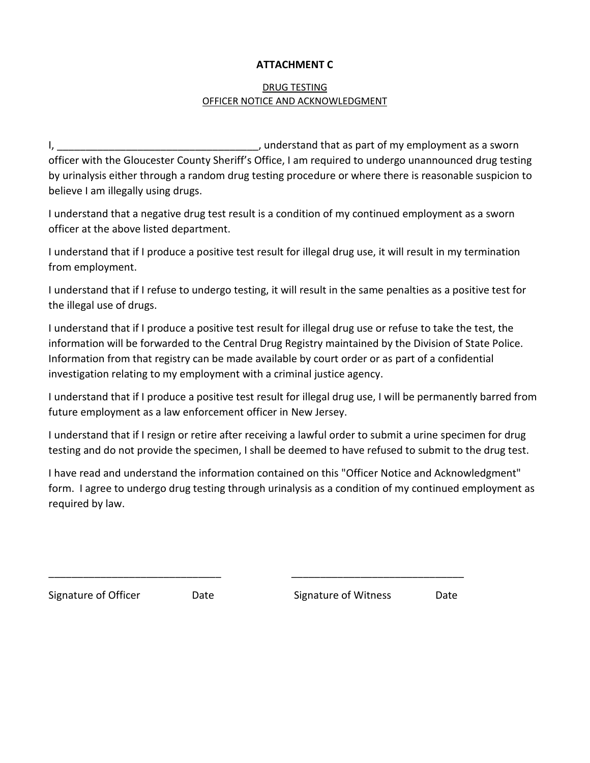## **ATTACHMENT C**

## DRUG TESTING OFFICER NOTICE AND ACKNOWLEDGMENT

I, \_\_\_\_\_\_\_\_\_\_\_\_\_\_\_\_\_\_\_\_\_\_\_\_\_\_\_\_\_\_\_\_\_\_\_, understand that as part of my employment as a sworn officer with the Gloucester County Sheriff's Office, I am required to undergo unannounced drug testing by urinalysis either through a random drug testing procedure or where there is reasonable suspicion to believe I am illegally using drugs.

I understand that a negative drug test result is a condition of my continued employment as a sworn officer at the above listed department.

I understand that if I produce a positive test result for illegal drug use, it will result in my termination from employment.

I understand that if I refuse to undergo testing, it will result in the same penalties as a positive test for the illegal use of drugs.

I understand that if I produce a positive test result for illegal drug use or refuse to take the test, the information will be forwarded to the Central Drug Registry maintained by the Division of State Police. Information from that registry can be made available by court order or as part of a confidential investigation relating to my employment with a criminal justice agency.

I understand that if I produce a positive test result for illegal drug use, I will be permanently barred from future employment as a law enforcement officer in New Jersey.

I understand that if I resign or retire after receiving a lawful order to submit a urine specimen for drug testing and do not provide the specimen, I shall be deemed to have refused to submit to the drug test.

I have read and understand the information contained on this "Officer Notice and Acknowledgment" form. I agree to undergo drug testing through urinalysis as a condition of my continued employment as required by law.

\_\_\_\_\_\_\_\_\_\_\_\_\_\_\_\_\_\_\_\_\_\_\_\_\_\_\_\_\_\_ \_\_\_\_\_\_\_\_\_\_\_\_\_\_\_\_\_\_\_\_\_\_\_\_\_\_\_\_\_\_

Signature of Officer Date Signature of Witness Date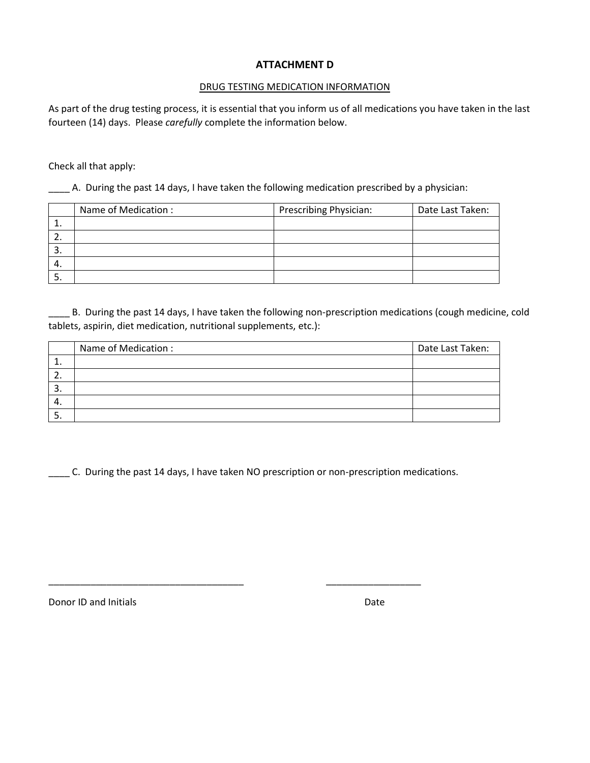## **ATTACHMENT D**

### DRUG TESTING MEDICATION INFORMATION

As part of the drug testing process, it is essential that you inform us of all medications you have taken in the last fourteen (14) days. Please *carefully* complete the information below.

Check all that apply:

\_\_\_\_ A. During the past 14 days, I have taken the following medication prescribed by a physician:

|    | Name of Medication: | Prescribing Physician: | Date Last Taken: |
|----|---------------------|------------------------|------------------|
|    |                     |                        |                  |
| z. |                     |                        |                  |
| 3. |                     |                        |                  |
| 4. |                     |                        |                  |
| э. |                     |                        |                  |

B. During the past 14 days, I have taken the following non-prescription medications (cough medicine, cold tablets, aspirin, diet medication, nutritional supplements, etc.):

|          | Name of Medication: | Date Last Taken: |
|----------|---------------------|------------------|
| <b>.</b> |                     |                  |
| <u>.</u> |                     |                  |
| .ر       |                     |                  |
| 4.       |                     |                  |
| <u>.</u> |                     |                  |

\_\_\_\_ C. During the past 14 days, I have taken NO prescription or non-prescription medications.

\_\_\_\_\_\_\_\_\_\_\_\_\_\_\_\_\_\_\_\_\_\_\_\_\_\_\_\_\_\_\_\_\_\_\_\_\_ \_\_\_\_\_\_\_\_\_\_\_\_\_\_\_\_\_\_

Donor ID and Initials **Date** Date **Date** Date **Date**